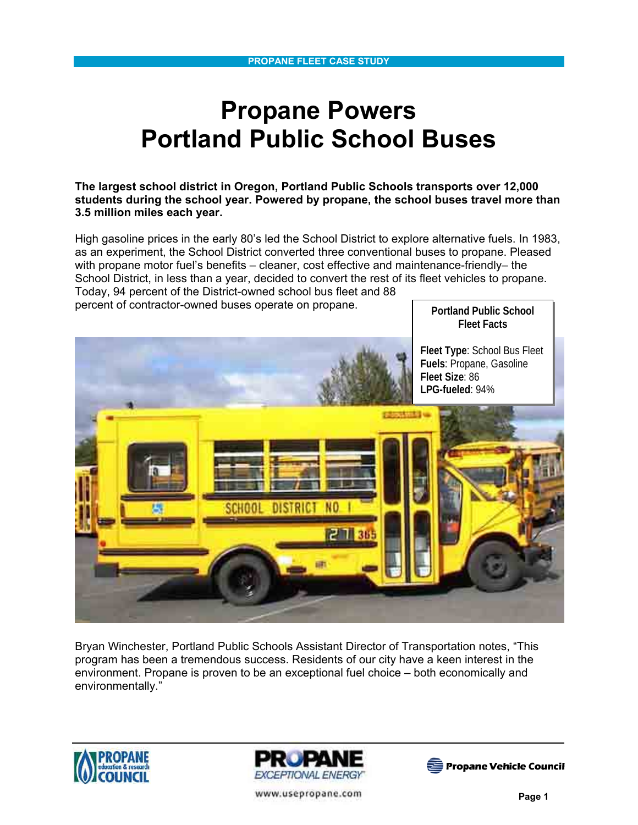# **Propane Powers Portland Public School Buses**

**The largest school district in Oregon, Portland Public Schools transports over 12,000 students during the school year. Powered by propane, the school buses travel more than 3.5 million miles each year.** 

High gasoline prices in the early 80's led the School District to explore alternative fuels. In 1983, as an experiment, the School District converted three conventional buses to propane. Pleased with propane motor fuel's benefits – cleaner, cost effective and maintenance-friendly– the School District, in less than a year, decided to convert the rest of its fleet vehicles to propane. Today, 94 percent of the District-owned school bus fleet and 88

percent of contractor-owned buses operate on propane.

**Portland Public School Fleet Facts** 

**Fleet Type**: School Bus Fleet **Fuels**: Propane, Gasoline **Fleet Size**: 86 **LPG-fueled**: 94%



Bryan Winchester, Portland Public Schools Assistant Director of Transportation notes, "This program has been a tremendous success. Residents of our city have a keen interest in the environment. Propane is proven to be an exceptional fuel choice – both economically and environmentally."







www.usepropane.com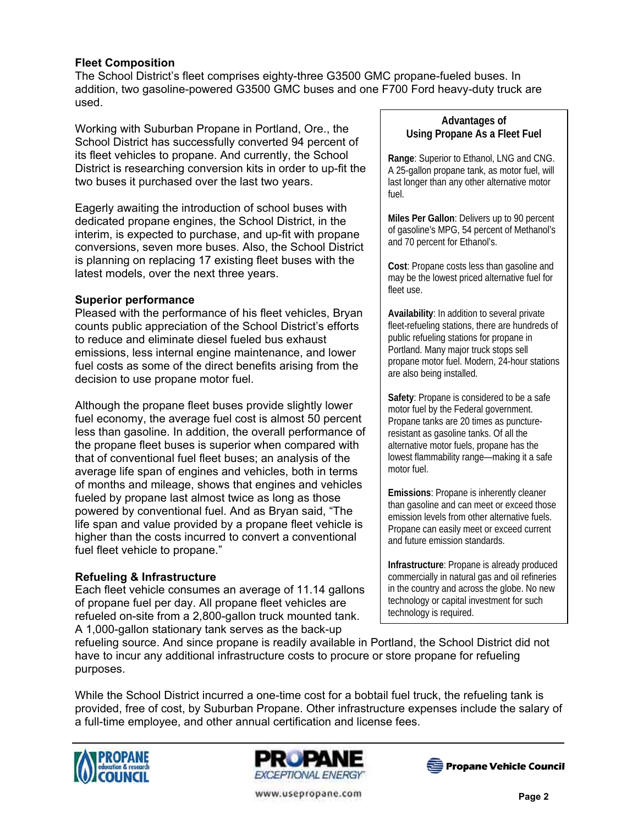## **Fleet Composition**

The School District's fleet comprises eighty-three G3500 GMC propane-fueled buses. In addition, two gasoline-powered G3500 GMC buses and one F700 Ford heavy-duty truck are used.

Working with Suburban Propane in Portland, Ore., the School District has successfully converted 94 percent of its fleet vehicles to propane. And currently, the School District is researching conversion kits in order to up-fit the two buses it purchased over the last two years.

Eagerly awaiting the introduction of school buses with dedicated propane engines, the School District, in the interim, is expected to purchase, and up-fit with propane conversions, seven more buses. Also, the School District is planning on replacing 17 existing fleet buses with the latest models, over the next three years.

## **Superior performance**

Pleased with the performance of his fleet vehicles, Bryan counts public appreciation of the School District's efforts to reduce and eliminate diesel fueled bus exhaust emissions, less internal engine maintenance, and lower fuel costs as some of the direct benefits arising from the decision to use propane motor fuel.

Although the propane fleet buses provide slightly lower fuel economy, the average fuel cost is almost 50 percent less than gasoline. In addition, the overall performance of the propane fleet buses is superior when compared with that of conventional fuel fleet buses; an analysis of the average life span of engines and vehicles, both in terms of months and mileage, shows that engines and vehicles fueled by propane last almost twice as long as those powered by conventional fuel. And as Bryan said, "The life span and value provided by a propane fleet vehicle is higher than the costs incurred to convert a conventional fuel fleet vehicle to propane."

## **Refueling & Infrastructure**

Each fleet vehicle consumes an average of 11.14 gallons of propane fuel per day. All propane fleet vehicles are refueled on-site from a 2,800-gallon truck mounted tank. A 1,000-gallon stationary tank serves as the back-up

#### **Advantages of Using Propane As a Fleet Fuel**

**Range**: Superior to Ethanol, LNG and CNG. A 25-gallon propane tank, as motor fuel, will last longer than any other alternative motor fuel.

**Miles Per Gallon**: Delivers up to 90 percent of gasoline's MPG, 54 percent of Methanol's and 70 percent for Ethanol's.

**Cost**: Propane costs less than gasoline and may be the lowest priced alternative fuel for fleet use.

**Availability**: In addition to several private fleet-refueling stations, there are hundreds of public refueling stations for propane in Portland. Many major truck stops sell propane motor fuel. Modern, 24-hour stations are also being installed.

**Safety**: Propane is considered to be a safe motor fuel by the Federal government. Propane tanks are 20 times as punctureresistant as gasoline tanks. Of all the alternative motor fuels, propane has the lowest flammability range—making it a safe motor fuel.

**Emissions**: Propane is inherently cleaner than gasoline and can meet or exceed those emission levels from other alternative fuels. Propane can easily meet or exceed current and future emission standards.

**Infrastructure**: Propane is already produced commercially in natural gas and oil refineries in the country and across the globe. No new technology or capital investment for such technology is required.

refueling source. And since propane is readily available in Portland, the School District did not have to incur any additional infrastructure costs to procure or store propane for refueling purposes.

While the School District incurred a one-time cost for a bobtail fuel truck, the refueling tank is provided, free of cost, by Suburban Propane. Other infrastructure expenses include the salary of a full-time employee, and other annual certification and license fees.







www.usepropane.com